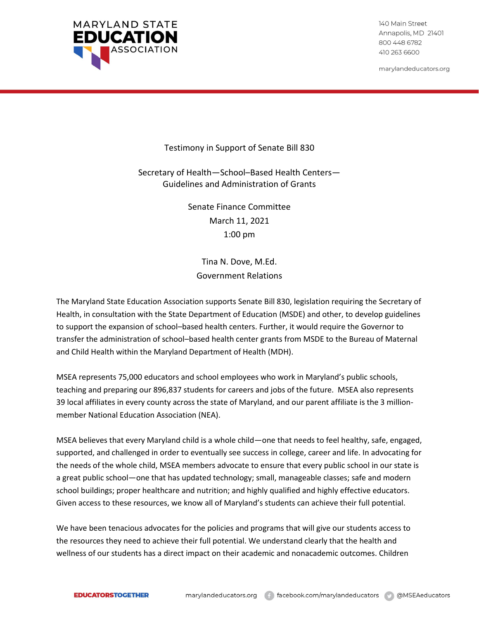

140 Main Street Annapolis, MD 21401 800 448 6782 410 263 6600

marylandeducators.org

Testimony in Support of Senate Bill 830

Secretary of Health—School–Based Health Centers— Guidelines and Administration of Grants

> Senate Finance Committee March 11, 2021 1:00 pm

Tina N. Dove, M.Ed. Government Relations

The Maryland State Education Association supports Senate Bill 830, legislation requiring the Secretary of Health, in consultation with the State Department of Education (MSDE) and other, to develop guidelines to support the expansion of school–based health centers. Further, it would require the Governor to transfer the administration of school–based health center grants from MSDE to the Bureau of Maternal and Child Health within the Maryland Department of Health (MDH).

MSEA represents 75,000 educators and school employees who work in Maryland's public schools, teaching and preparing our 896,837 students for careers and jobs of the future. MSEA also represents 39 local affiliates in every county across the state of Maryland, and our parent affiliate is the 3 millionmember National Education Association (NEA).

MSEA believes that every Maryland child is a whole child—one that needs to feel healthy, safe, engaged, supported, and challenged in order to eventually see success in college, career and life. In advocating for the needs of the whole child, MSEA members advocate to ensure that every public school in our state is a great public school—one that has updated technology; small, manageable classes; safe and modern school buildings; proper healthcare and nutrition; and highly qualified and highly effective educators. Given access to these resources, we know all of Maryland's students can achieve their full potential.

We have been tenacious advocates for the policies and programs that will give our students access to the resources they need to achieve their full potential. We understand clearly that the health and wellness of our students has a direct impact on their academic and nonacademic outcomes. Children